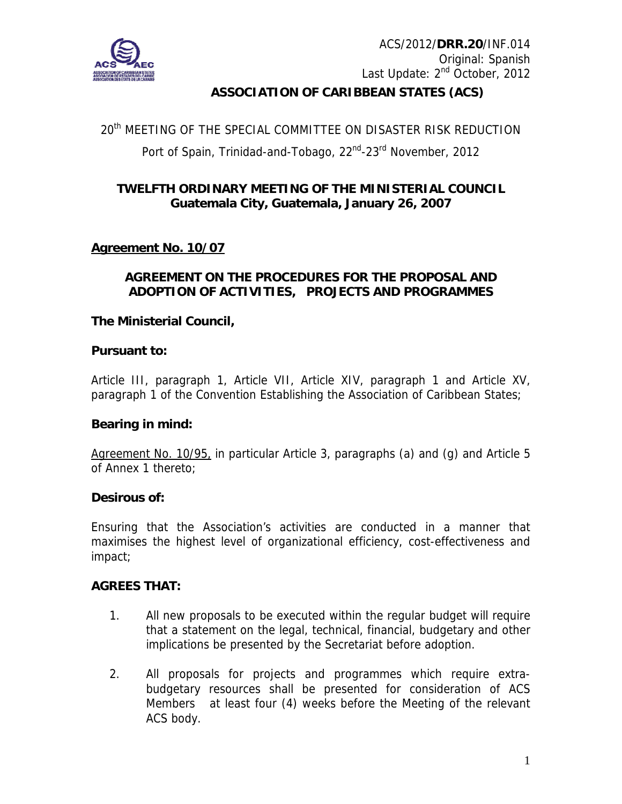

# **ASSOCIATION OF CARIBBEAN STATES (ACS)**

# 20<sup>th</sup> MEETING OF THE SPECIAL COMMITTEE ON DISASTER RISK REDUCTION Port of Spain, Trinidad-and-Tobago, 22<sup>nd</sup>-23<sup>rd</sup> November, 2012

## **TWELFTH ORDINARY MEETING OF THE MINISTERIAL COUNCIL Guatemala City, Guatemala, January 26, 2007**

## **Agreement No. 10/07**

## **AGREEMENT ON THE PROCEDURES FOR THE PROPOSAL AND ADOPTION OF ACTIVITIES, PROJECTS AND PROGRAMMES**

## **The Ministerial Council,**

## **Pursuant to:**

Article III, paragraph 1, Article VII, Article XIV, paragraph 1 and Article XV, paragraph 1 of the Convention Establishing the Association of Caribbean States;

## **Bearing in mind:**

Agreement No. 10/95, in particular Article 3, paragraphs (a) and (g) and Article 5 of Annex 1 thereto;

#### **Desirous of:**

Ensuring that the Association's activities are conducted in a manner that maximises the highest level of organizational efficiency, cost-effectiveness and impact;

#### **AGREES THAT:**

- 1. All new proposals to be executed within the regular budget will require that a statement on the legal, technical, financial, budgetary and other implications be presented by the Secretariat before adoption.
- 2. All proposals for projects and programmes which require extrabudgetary resources shall be presented for consideration of ACS Members at least four (4) weeks before the Meeting of the relevant ACS body.